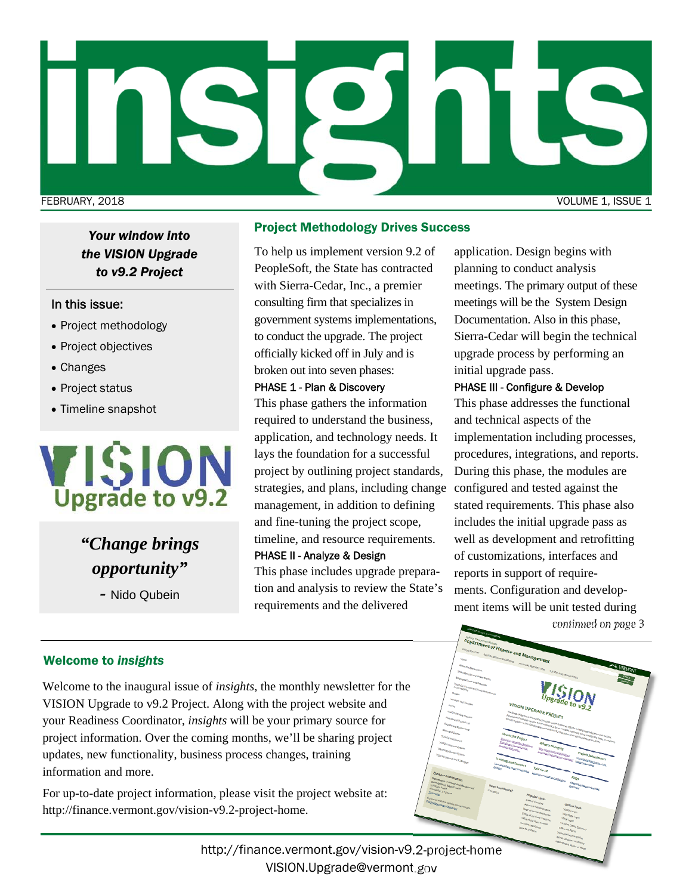

*Your window into the VISION Upgrade to v9.2 Project* 

### In this issue:

- Project methodology
- Project objectives
- Changes
- Project status
- Timeline snapshot



*"Change brings opportunity"* 

*-* Nido Qubein

#### Project Methodology Drives Success

To help us implement version 9.2 of PeopleSoft, the State has contracted with Sierra-Cedar, Inc., a premier consulting firm that specializes in government systems implementations, to conduct the upgrade. The project officially kicked off in July and is broken out into seven phases:

#### PHASE 1 - Plan & Discovery

This phase gathers the information required to understand the business, application, and technology needs. It lays the foundation for a successful project by outlining project standards, strategies, and plans, including change configured and tested against the management, in addition to defining and fine-tuning the project scope, timeline, and resource requirements. PHASE II - Analyze & Design

This phase includes upgrade preparation and analysis to review the State's requirements and the delivered

application. Design begins with planning to conduct analysis meetings. The primary output of these meetings will be the System Design Documentation. Also in this phase, Sierra-Cedar will begin the technical upgrade process by performing an initial upgrade pass.

### PHASE III - Configure & Develop

This phase addresses the functional and technical aspects of the implementation including processes, procedures, integrations, and reports. During this phase, the modules are stated requirements. This phase also includes the initial upgrade pass as well as development and retrofitting of customizations, interfaces and reports in support of requirements. Configuration and development items will be unit tested during

*continued on page 3* 

### Welcome to *insights*

Welcome to the inaugural issue of *insights*, the monthly newsletter for the VISION Upgrade to v9.2 Project. Along with the project website and your Readiness Coordinator, *insights* will be your primary source for project information. Over the coming months, we'll be sharing project updates, new functionality, business process changes, training information and more.

For up-to-date project information, please visit the project website at: http://finance.vermont.gov/vision-v9.2-project-home.

> http://finance.vermont.gov/vision-v9.2-project-home VISION.Upgrade@vermont.gov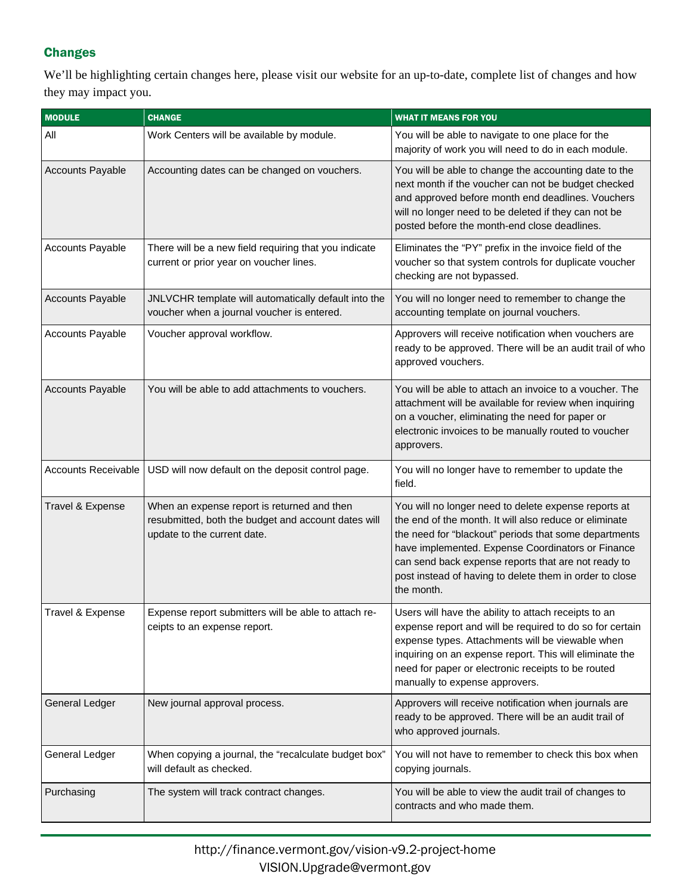## **Changes**

We'll be highlighting certain changes here, please visit our website for an up-to-date, complete list of changes and how they may impact you.

| <b>MODULE</b>              | <b>CHANGE</b>                                                                                                                     | <b>WHAT IT MEANS FOR YOU</b>                                                                                                                                                                                                                                                                                                                                 |
|----------------------------|-----------------------------------------------------------------------------------------------------------------------------------|--------------------------------------------------------------------------------------------------------------------------------------------------------------------------------------------------------------------------------------------------------------------------------------------------------------------------------------------------------------|
| All                        | Work Centers will be available by module.                                                                                         | You will be able to navigate to one place for the<br>majority of work you will need to do in each module.                                                                                                                                                                                                                                                    |
| <b>Accounts Payable</b>    | Accounting dates can be changed on vouchers.                                                                                      | You will be able to change the accounting date to the<br>next month if the voucher can not be budget checked<br>and approved before month end deadlines. Vouchers<br>will no longer need to be deleted if they can not be<br>posted before the month-end close deadlines.                                                                                    |
| <b>Accounts Payable</b>    | There will be a new field requiring that you indicate<br>current or prior year on voucher lines.                                  | Eliminates the "PY" prefix in the invoice field of the<br>voucher so that system controls for duplicate voucher<br>checking are not bypassed.                                                                                                                                                                                                                |
| <b>Accounts Payable</b>    | JNLVCHR template will automatically default into the<br>voucher when a journal voucher is entered.                                | You will no longer need to remember to change the<br>accounting template on journal vouchers.                                                                                                                                                                                                                                                                |
| <b>Accounts Payable</b>    | Voucher approval workflow.                                                                                                        | Approvers will receive notification when vouchers are<br>ready to be approved. There will be an audit trail of who<br>approved vouchers.                                                                                                                                                                                                                     |
| <b>Accounts Payable</b>    | You will be able to add attachments to vouchers.                                                                                  | You will be able to attach an invoice to a voucher. The<br>attachment will be available for review when inquiring<br>on a voucher, eliminating the need for paper or<br>electronic invoices to be manually routed to voucher<br>approvers.                                                                                                                   |
| <b>Accounts Receivable</b> | USD will now default on the deposit control page.                                                                                 | You will no longer have to remember to update the<br>field.                                                                                                                                                                                                                                                                                                  |
| Travel & Expense           | When an expense report is returned and then<br>resubmitted, both the budget and account dates will<br>update to the current date. | You will no longer need to delete expense reports at<br>the end of the month. It will also reduce or eliminate<br>the need for "blackout" periods that some departments<br>have implemented. Expense Coordinators or Finance<br>can send back expense reports that are not ready to<br>post instead of having to delete them in order to close<br>the month. |
| Travel & Expense           | Expense report submitters will be able to attach re-<br>ceipts to an expense report.                                              | Users will have the ability to attach receipts to an<br>expense report and will be required to do so for certain<br>expense types. Attachments will be viewable when<br>inquiring on an expense report. This will eliminate the<br>need for paper or electronic receipts to be routed<br>manually to expense approvers.                                      |
| General Ledger             | New journal approval process.                                                                                                     | Approvers will receive notification when journals are<br>ready to be approved. There will be an audit trail of<br>who approved journals.                                                                                                                                                                                                                     |
| General Ledger             | When copying a journal, the "recalculate budget box"<br>will default as checked.                                                  | You will not have to remember to check this box when<br>copying journals.                                                                                                                                                                                                                                                                                    |
| Purchasing                 | The system will track contract changes.                                                                                           | You will be able to view the audit trail of changes to<br>contracts and who made them.                                                                                                                                                                                                                                                                       |